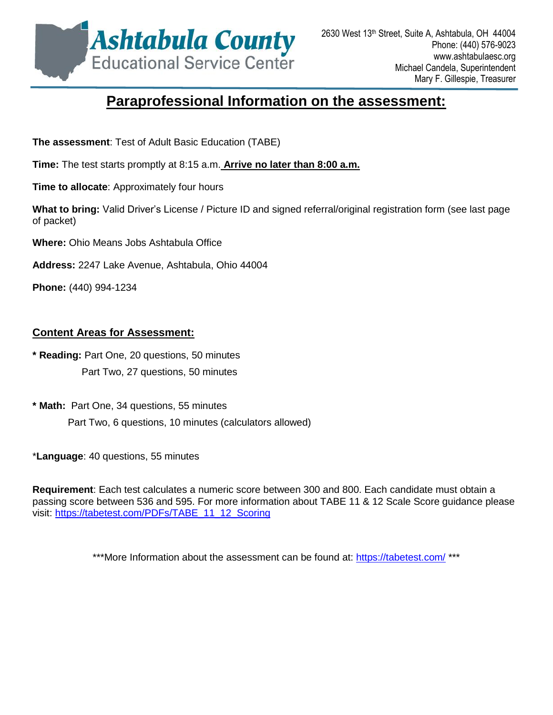

# **Paraprofessional Information [on the assessment:](http://www.acesc.k12.oh.us/)**

**The assessment**: Test of Adult Basic Education (TABE)

**Time:** The test starts promptly at 8:15 a.m. **Arrive no later than [8:00 a.m.](http://www.acesc.k12.oh.us/)**

**Time to allocate**: Approximately four hours

**What to bring:** Valid Driver's License / Picture ID and signed ref[erral/original registration form \(see last page](http://www.acesc.k12.oh.us/)  of packet)

**Where:** Ohio Means Jobs Ashtabula Office

**Address:** 2247 Lake Avenue, Ashtabula, Ohio 44004

**Phone:** (440) 994-1234

### **Content Areas for Assessment:**

**\* Reading:** Part One, 20 questions, 50 minutes Part Two, 27 questions, 50 minutes

**\* Math:** Part One, 34 questions, 55 minutes Part Two, 6 questions, 10 minutes (calculators allowed)

\***Language**: 40 questions, 55 minutes

**Requirement**: Each test calculates a numeric score between 300 and 800. Each candidate must obtain a passing score between 536 and 595. For more information about TABE 11 & 12 Scale Score guidance please visit: [https://tabetest.com/PDFs/TABE\\_11\\_12\\_Scoring](https://tabetest.com/PDFs/TABE_11_12_Scoring_Best_Practice_Guidelines.pdf)

\*\*\*More Information about the assessment can be found at: <https://tabetest.com/> \*\*\*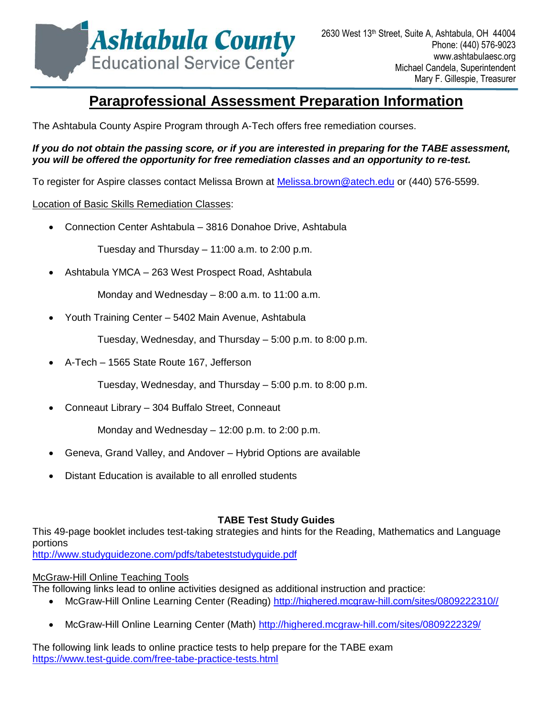

# **Paraprofessional Assessment Pr[eparation Information](http://www.acesc.k12.oh.us/)**

The Ashtabula County Aspire Program through A-Tech offers fre[e remediation courses.](http://www.acesc.k12.oh.us/) 

#### *If you do not obtain the passing score, or if you are interest[ed in preparing for the TABE assessment,](http://www.acesc.k12.oh.us/)  you will be offered the opportunity for free remediation clas[ses and an opportunity to re-test.](http://www.acesc.k12.oh.us/)*

To register for Aspire classes contact Melissa Brown at [Melissa.brown@atech.edu](mailto:Melissa.brown@atech.edu) [or \(440\) 576-5599.](http://www.acesc.k12.oh.us/) 

### Location of Basic Skills Remediation Classes:

Connection Center Ashtabula – 3816 Donahoe Drive, As[htabula](http://www.acesc.k12.oh.us/)

Tuesday and Thursday – 11:00 a.m. to 2:00 p.m.

Ashtabula YMCA – 263 West Prospect Road, Ashtabula

Monday and Wednesday – 8:00 a.m. to 11:00 a.m.

Youth Training Center – 5402 Main Avenue, Ashtabula

Tuesday, Wednesday, and Thursday – 5:00 p.m. to 8:00 p.m.

A-Tech – 1565 State Route 167, Jefferson

Tuesday, Wednesday, and Thursday – 5:00 p.m. to 8:00 p.m.

Conneaut Library – 304 Buffalo Street, Conneaut

Monday and Wednesday – 12:00 p.m. to 2:00 p.m.

- Geneva, Grand Valley, and Andover Hybrid Options are available
- Distant Education is available to all enrolled students

### **TABE Test Study Guides**

This 49-page booklet includes test-taking strategies and hints for the Reading, Mathematics and Language portions

<http://www.studyguidezone.com/pdfs/tabeteststudyguide.pdf>

### McGraw-Hill Online Teaching Tools

The following links lead to online activities designed as additional instruction and practice:

- McGraw-Hill Online Learning Center (Reading) [http://highered.mcgraw-hill.com/sites/0809222310//](http://highered.mcgraw-hill.com/sites/0809222310/)
- McGraw-Hill Online Learning Center (Math)<http://highered.mcgraw-hill.com/sites/0809222329/>

The following link leads to online practice tests to help prepare for the TABE exam <https://www.test-guide.com/free-tabe-practice-tests.html>